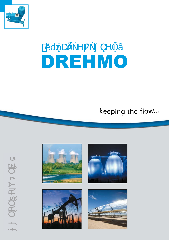

PROFILE

 $\Delta$ 

 $\tilde{\mathcal{A}}$ 

# DREHMO

idzie dzienie z przez przez przez przez przez przez przez przez przez przez przez przez przez przez przez przez

## keeping <sup>t</sup>h<sup>e</sup> flow...







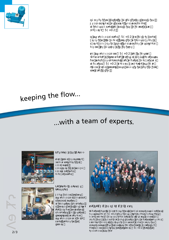



# <sup>k</sup>eepin<sup>g</sup> <sup>t</sup>h<sup>e</sup> <sup>f</sup>low...

## ...with <sup>a</sup> <sup>t</sup>ea<sup>m</sup> <sup>o</sup>f <sup>e</sup><sup>x</sup>perts.

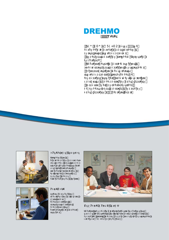

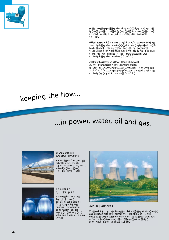



### keeping the flow... l

## ...in power, water, oil and gas.

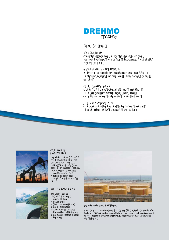

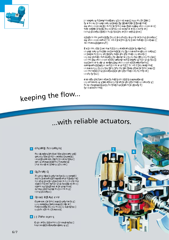

Our products are best when you don't recognize that they are actual the monomediate where we then the set of the set of the set of the set of the set of the set of the set <br>As possible to design the set of the set of the set of the set of the set of the set of the set of the set of and produce actuators that attract as little attention as possible Áthroughoù their entire life-cycle.<br>Áthroughout their entire life-cycle. on to "set and forget" with our wear-resistant and low-mainte a aaaaa a  $B = \bigcup_{i=1}^n A_i$  in diverse branches branches branches branches branches branches branches branches branches branches branches branches branches branches branches branches branches branches branches branches branches bran requires to a dividend to the region of the region of the region of the region of the region of the region of the region of the region of the region of the region of the region of the region of the region of the region of why we offer our actuators in every technical style necessary. AH AWUUTUA A  $\Delta \Delta$  intrusive high-tech actuators  $\Delta \Delta$ (or something in between), DREHMO has the right product.<br>The right product product product product. the ease of use and the universal usage. Furthermore, our localise and product political political politics and product political political politics and product political politics guarantees and product politics guarantees and product politics guarantees and prod parts and service throughout the life cycle of your plant. ÁÁÁBÁSÁ, Á ÁÁÁÁÁÁ)  $\,\dot{\mathsf{A}}\,$   $\,\dot{\mathsf{A}}\,$   $\,\dot{\mathsf{A}}\,$   $\,\dot{\mathsf{A}}\,$   $\,\dot{\mathsf{A}}\,$  $\mathbf{\tilde{\mathbf{A}}} \quad \mathbf{\tilde{A}} \qquad \mathbf{\tilde{A}} \qquad \mathbf{\tilde{A}} \qquad \mathbf{\tilde{A}} \qquad \mathbf{\tilde{A}}$ áÁ ÁÁ Á Á Á Í ÄÖÜÒ PTUÁÁ Á Á ÁÁ J ° ÁÁ øl Á ÁÀ Á<br>Á Á ÁÁ ÁÁÁÁÁÁ Á Á ÁÄÁÄÓ, ÁÄÁÁÀ ÁÄÁÁ Á ierejenté a magyarat a között, a magyarat a között, a magyarat a magyarat a magyarat a magyarat a magyarat a ÁÁ Á ÁÄÖÜÒPTUÁ Á J Á ÀiÀ Á Á Á Á Á ÁÁ ÁÁÀ ɩɪɢɦɟɧɟɧɢɹ Á À ÁÁ Á ÁÁÁÁ ÁÁ ÁÁÁÁ Á ɧɟɨɛɯɨɞɢɦɨɫɬɶ

#### keeping the flow... l

with reliable actuators. lil



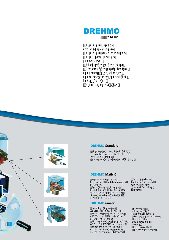



### **DREHMO Standard**



#### **DREHMO Matic C**



#### **DREHMO i-matic**

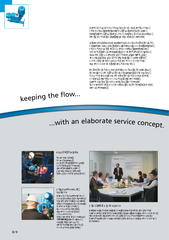



#### keeping the flow... l

## with an elaborate service concept... l

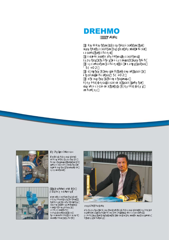

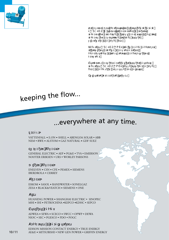

 $\overbrace{a}^{\overbrace{b}}$ About the people behind the actuators, about the markets on which we are active, about our actuators and about the services ↑ ÂÁÁÁ Á È  $E$  $\ddot{\sigma}$ AÖÜÖPTUAÕ<sub>L</sub>àPÁÁÁ Á Á H a all and the matrix and the world. The matrix of the world. The same of the world. The world. The world. The <br>The world. The world. The world. The world. The world. The world. The world. The world. The world. The world. That is how we became a successful, leading company with satisfied customers on all continents and it is the way we are ∆A<br>∠ ِ شَرِيحَةَ الْمَطْيِّسِيِّ  $\overrightarrow{AA}$   $\overrightarrow{A}$ ÁÀÀ ÀÃ ÀÁ نائِصُةِ Aöüò PTUÈAÁ ÁÁ ي ÁÁ ĚŘ ČÁ L  $\overrightarrow{A}$   $\overrightarrow{A}$   $\overrightarrow{A}$   $\overrightarrow{A}$   $\overrightarrow{A}$   $\overrightarrow{A}$   $\overrightarrow{A}$   $\overrightarrow{A}$   $\overrightarrow{A}$   $\overrightarrow{A}$   $\overrightarrow{A}$   $\overrightarrow{A}$   $\overrightarrow{B}$ ÁÁÁÁ<br>ÁÁÁÁ áĂ<br>ĂÁ Á Á ɨɛɴɟɤɬɨɜ <u></u><br>**Ä**ÖÜÒ PTUÃO { à PÁ Á Á Á È<br>Á Á Á È ÁÁÀ ÁÀ À Á ÁÁÁÈ

 $\mathcal{T}$ 

#### keeping the flow... l

## ...everywhere at any time.

VATTENFALL **•** E.ON **•** SHELL **•** ABENGOA SOLAR • ABB NEM • RWE **•** ALSTOM **•** GAZ NATURAL **•** GDF SUEZ

#### $\acute{A}$ <del>Ă</del>

GENERAL ELECTRIC **•** AEP **•** PG&E • TVA • EMERSON NOOTER ERIKSEN • URS • WORLEY PARSONS

#### **Middle and South America** Á

ENELVEN **•** CSN **•** CFE **•** PEMEX **•** SIEMENS IBERDROLA • CERREY

ESKOM **•** SASOL **•** RANDWATER • SONELGAZ ZESA **•** BLACK&VEATCH **•** SIEMENS • ONE

HUANENG POWER **•** SHANGHAI ELECTRIC • SINOPEC MHI **•** IHI **•** PETROCHINA **•**KEPCO **•**KDHC • SEPCO

#### **The Middle East**  $\AA$

ADWEA **•** SEWA **•** SCECO **•** SWCC • OPWP • DEWA NIOC • SEC • PGESCO • PDO • POGC

#### **Australia → New Zealanda**

EDISON MISSION CONTACT ENERGY • TRUE ENERGY AE&E **•** MITSUBISHI • NEW GEN POWER • GRIFFIN ENERGY

10 / 11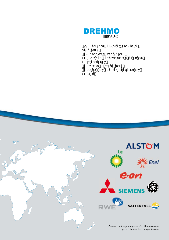



page 4, bottom left - Imageafter.com